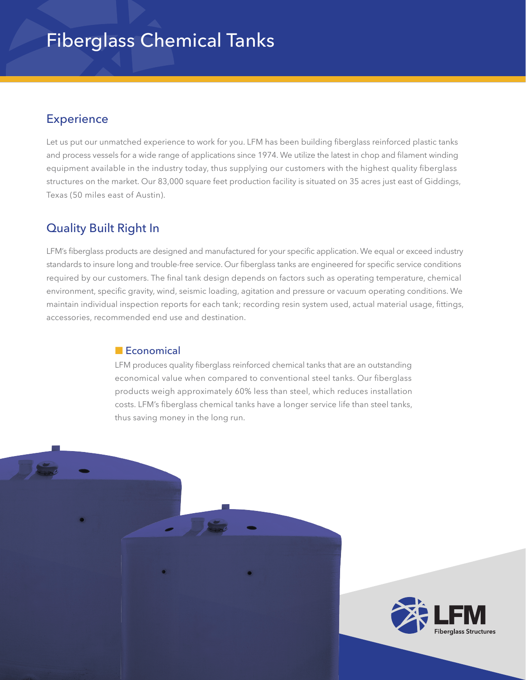# Fiberglass Chemical Tanks

### **Experience**

Let us put our unmatched experience to work for you. LFM has been building fiberglass reinforced plastic tanks and process vessels for a wide range of applications since 1974. We utilize the latest in chop and filament winding equipment available in the industry today, thus supplying our customers with the highest quality fiberglass structures on the market. Our 83,000 square feet production facility is situated on 35 acres just east of Giddings, Texas (50 miles east of Austin).

## Quality Built Right In

LFM's fiberglass products are designed and manufactured for your specific application. We equal or exceed industry standards to insure long and trouble-free service. Our fiberglass tanks are engineered for specific service conditions required by our customers. The final tank design depends on factors such as operating temperature, chemical environment, specific gravity, wind, seismic loading, agitation and pressure or vacuum operating conditions. We maintain individual inspection reports for each tank; recording resin system used, actual material usage, fittings, accessories, recommended end use and destination.

#### **n** Economical

LFM produces quality fiberglass reinforced chemical tanks that are an outstanding economical value when compared to conventional steel tanks. Our fiberglass products weigh approximately 60% less than steel, which reduces installation costs. LFM's fiberglass chemical tanks have a longer service life than steel tanks, thus saving money in the long run.